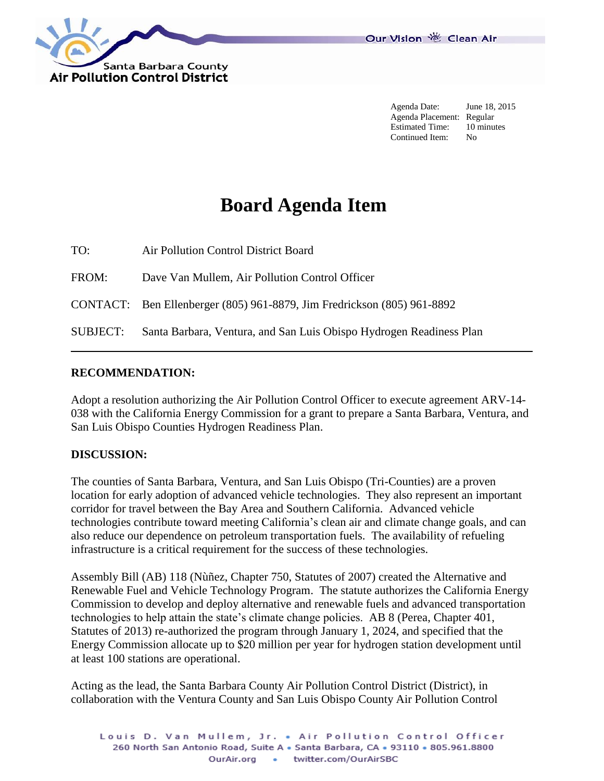

Agenda Date: June 18, 2015 Agenda Placement: Regular Estimated Time: 10 minutes Continued Item: No

## **Board Agenda Item**

TO: Air Pollution Control District Board FROM: Dave Van Mullem, Air Pollution Control Officer CONTACT: Ben Ellenberger (805) 961-8879, Jim Fredrickson (805) 961-8892 SUBJECT: Santa Barbara, Ventura, and San Luis Obispo Hydrogen Readiness Plan

## **RECOMMENDATION:**

Adopt a resolution authorizing the Air Pollution Control Officer to execute agreement ARV-14- 038 with the California Energy Commission for a grant to prepare a Santa Barbara, Ventura, and San Luis Obispo Counties Hydrogen Readiness Plan.

## **DISCUSSION:**

The counties of Santa Barbara, Ventura, and San Luis Obispo (Tri-Counties) are a proven location for early adoption of advanced vehicle technologies. They also represent an important corridor for travel between the Bay Area and Southern California. Advanced vehicle technologies contribute toward meeting California's clean air and climate change goals, and can also reduce our dependence on petroleum transportation fuels. The availability of refueling infrastructure is a critical requirement for the success of these technologies.

Assembly Bill (AB) 118 (Nùñez, Chapter 750, Statutes of 2007) created the Alternative and Renewable Fuel and Vehicle Technology Program. The statute authorizes the California Energy Commission to develop and deploy alternative and renewable fuels and advanced transportation technologies to help attain the state's climate change policies. AB 8 (Perea, Chapter 401, Statutes of 2013) re-authorized the program through January 1, 2024, and specified that the Energy Commission allocate up to \$20 million per year for hydrogen station development until at least 100 stations are operational.

Acting as the lead, the Santa Barbara County Air Pollution Control District (District), in collaboration with the Ventura County and San Luis Obispo County Air Pollution Control